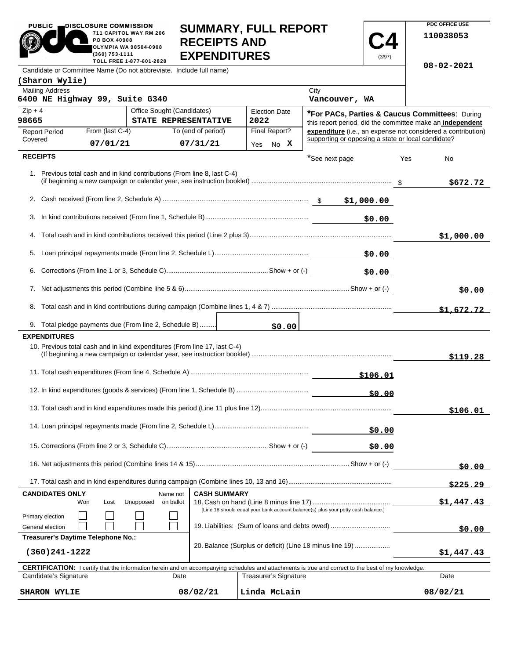|                                                           | 000000ART, FULLINLE<br>711 CAPITOL WAY RM 206<br>PO BOX 40908<br><b>RECEIPTS AND</b><br><b>OLYMPIA WA 98504-0908</b><br>(360) 753-1111<br><b>EXPENDITURES</b><br>TOLL FREE 1-877-601-2828 |                                                                                                                                                            |  |                              |                | (3/97)       | 110038053                                                                                                                 |
|-----------------------------------------------------------|-------------------------------------------------------------------------------------------------------------------------------------------------------------------------------------------|------------------------------------------------------------------------------------------------------------------------------------------------------------|--|------------------------------|----------------|--------------|---------------------------------------------------------------------------------------------------------------------------|
|                                                           |                                                                                                                                                                                           | Candidate or Committee Name (Do not abbreviate. Include full name)                                                                                         |  |                              |                |              | $08 - 02 - 2021$                                                                                                          |
| (Sharon Wylie)                                            |                                                                                                                                                                                           |                                                                                                                                                            |  |                              |                |              |                                                                                                                           |
| <b>Mailing Address</b>                                    |                                                                                                                                                                                           |                                                                                                                                                            |  |                              | City           |              |                                                                                                                           |
|                                                           | 6400 NE Highway 99, Suite G340                                                                                                                                                            |                                                                                                                                                            |  |                              | Vancouver, WA  |              |                                                                                                                           |
| $Zip + 4$<br>98665                                        |                                                                                                                                                                                           | Office Sought (Candidates)<br>STATE REPRESENTATIVE                                                                                                         |  | <b>Election Date</b><br>2022 |                |              | *For PACs, Parties & Caucus Committees: During                                                                            |
| <b>Report Period</b>                                      | From (last C-4)                                                                                                                                                                           | To (end of period)                                                                                                                                         |  | Final Report?                |                |              | this report period, did the committee make an independent<br>expenditure (i.e., an expense not considered a contribution) |
| Covered                                                   | 07/01/21                                                                                                                                                                                  | 07/31/21                                                                                                                                                   |  | No X<br>Yes                  |                |              | supporting or opposing a state or local candidate?                                                                        |
| <b>RECEIPTS</b>                                           |                                                                                                                                                                                           |                                                                                                                                                            |  |                              | *See next page |              | Yes<br>No                                                                                                                 |
|                                                           |                                                                                                                                                                                           | 1. Previous total cash and in kind contributions (From line 8, last C-4)                                                                                   |  |                              |                |              | \$672.72                                                                                                                  |
|                                                           |                                                                                                                                                                                           |                                                                                                                                                            |  |                              |                |              |                                                                                                                           |
|                                                           |                                                                                                                                                                                           |                                                                                                                                                            |  |                              |                |              |                                                                                                                           |
|                                                           |                                                                                                                                                                                           |                                                                                                                                                            |  |                              |                | \$0.00       |                                                                                                                           |
|                                                           |                                                                                                                                                                                           |                                                                                                                                                            |  |                              |                |              | \$1,000.00                                                                                                                |
|                                                           |                                                                                                                                                                                           |                                                                                                                                                            |  |                              |                | \$0.00       |                                                                                                                           |
|                                                           |                                                                                                                                                                                           |                                                                                                                                                            |  |                              |                | \$0.00       |                                                                                                                           |
|                                                           |                                                                                                                                                                                           |                                                                                                                                                            |  |                              |                |              | \$0.00                                                                                                                    |
|                                                           |                                                                                                                                                                                           |                                                                                                                                                            |  |                              |                |              |                                                                                                                           |
|                                                           |                                                                                                                                                                                           |                                                                                                                                                            |  |                              |                |              | \$1,672.72                                                                                                                |
|                                                           |                                                                                                                                                                                           | 9. Total pledge payments due (From line 2, Schedule B)                                                                                                     |  | \$0.00                       |                |              |                                                                                                                           |
| <b>EXPENDITURES</b>                                       |                                                                                                                                                                                           | 10. Previous total cash and in kind expenditures (From line 17, last C-4)                                                                                  |  |                              |                |              |                                                                                                                           |
|                                                           |                                                                                                                                                                                           |                                                                                                                                                            |  |                              |                |              | \$119.28                                                                                                                  |
|                                                           |                                                                                                                                                                                           |                                                                                                                                                            |  |                              |                | \$106.01     |                                                                                                                           |
|                                                           |                                                                                                                                                                                           |                                                                                                                                                            |  |                              |                | <u>50.00</u> |                                                                                                                           |
|                                                           |                                                                                                                                                                                           |                                                                                                                                                            |  |                              |                |              | \$106.01                                                                                                                  |
|                                                           |                                                                                                                                                                                           |                                                                                                                                                            |  |                              |                | \$0.00       |                                                                                                                           |
|                                                           |                                                                                                                                                                                           |                                                                                                                                                            |  |                              | \$0.00         |              |                                                                                                                           |
|                                                           |                                                                                                                                                                                           |                                                                                                                                                            |  |                              |                | \$0.00       |                                                                                                                           |
|                                                           |                                                                                                                                                                                           |                                                                                                                                                            |  |                              |                |              | \$225.29                                                                                                                  |
| <b>CASH SUMMARY</b><br><b>CANDIDATES ONLY</b><br>Name not |                                                                                                                                                                                           |                                                                                                                                                            |  |                              |                |              |                                                                                                                           |
|                                                           | Unopposed<br>on ballot<br>Won<br>Lost<br>[Line 18 should equal your bank account balance(s) plus your petty cash balance.]                                                                |                                                                                                                                                            |  |                              |                |              | \$1,447.43                                                                                                                |
| General election                                          | Primary election<br>19. Liabilities: (Sum of loans and debts owed)                                                                                                                        |                                                                                                                                                            |  |                              |                | \$0.00       |                                                                                                                           |
|                                                           | Treasurer's Daytime Telephone No.:<br>20. Balance (Surplus or deficit) (Line 18 minus line 19)                                                                                            |                                                                                                                                                            |  |                              |                |              |                                                                                                                           |
| $(360)241 - 1222$                                         |                                                                                                                                                                                           |                                                                                                                                                            |  |                              |                |              | \$1,447.43                                                                                                                |
|                                                           |                                                                                                                                                                                           | <b>CERTIFICATION:</b> I certify that the information herein and on accompanying schedules and attachments is true and correct to the best of my knowledge. |  |                              |                |              |                                                                                                                           |
|                                                           | Treasurer's Signature<br>Candidate's Signature<br>Date                                                                                                                                    |                                                                                                                                                            |  |                              |                |              | Date                                                                                                                      |
| 08/02/21<br><b>SHARON WYLIE</b>                           |                                                                                                                                                                                           |                                                                                                                                                            |  | Linda McLain                 |                |              | 08/02/21                                                                                                                  |

**SUMMARY, FULL REPORT** 

**PDC OFFICE USE** 

PUBLIC **DISCLOSURE COMMISSION** 

 $\blacksquare$ 

- 12

**711 CAPITOL WAY RM 206**